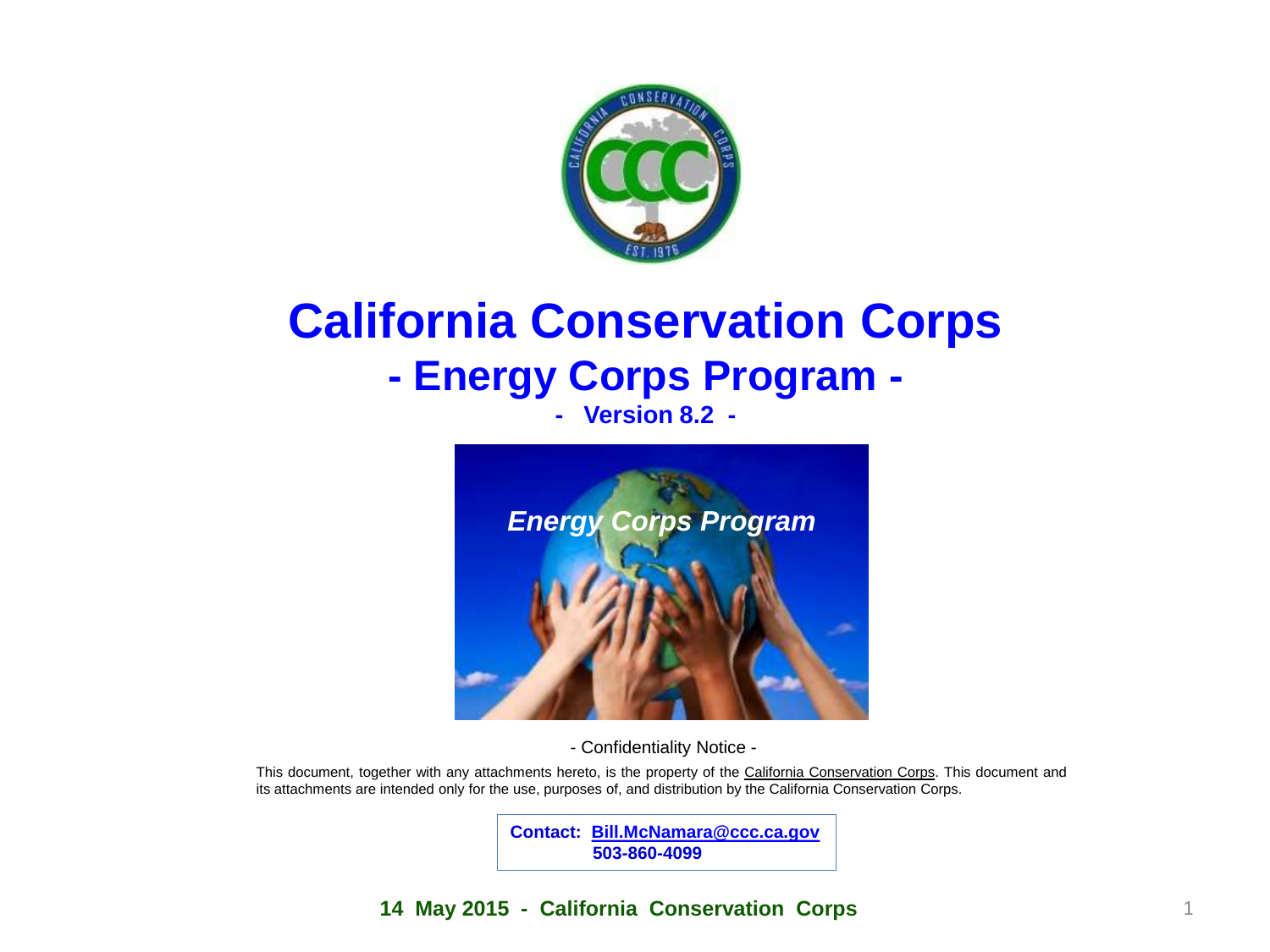

### **California Conservation Corps - Energy Corps Program - - Version 8.2 -**



- Confidentiality Notice -

This document, together with any attachments hereto, is the property of the California Conservation Corps. This document and its attachments are intended only for the use, purposes of, and distribution by the California Conservation Corps.

> **Contact: [Bill.McNamara@ccc.ca.gov](mailto:Bill.McNamara@ccc.ca.gov) 503-860-4099**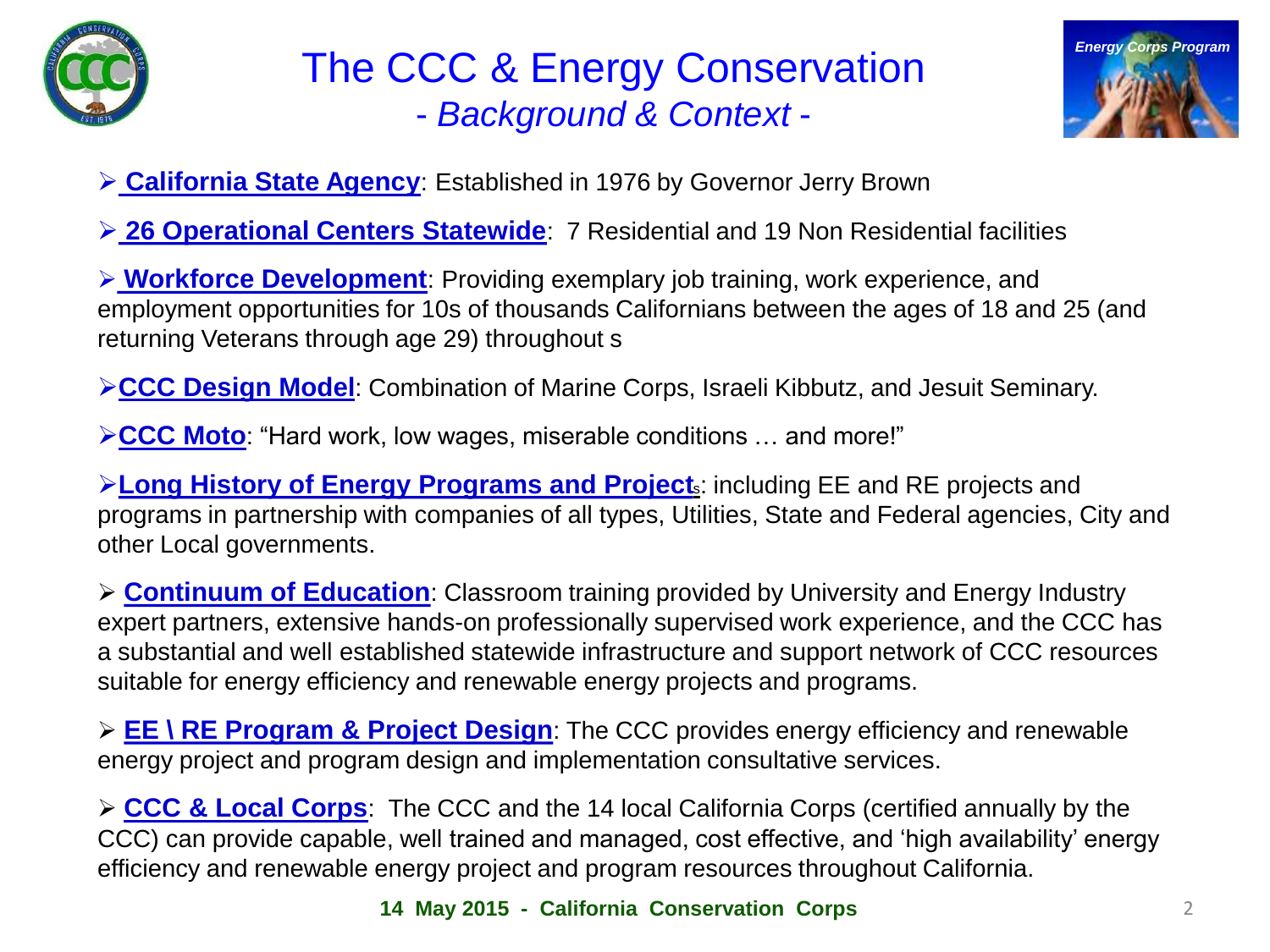

# The CCC & Energy Conservation - *Background & Context* -



**California State Agency**: Established in 1976 by Governor Jerry Brown

**26 Operational Centers Statewide**: 7 Residential and 19 Non Residential facilities

 **Workforce Development**: Providing exemplary job training, work experience, and employment opportunities for 10s of thousands Californians between the ages of 18 and 25 (and returning Veterans through age 29) throughout s

**CCC Design Model:** Combination of Marine Corps, Israeli Kibbutz, and Jesuit Seminary.

**ECC Moto**: "Hard work, low wages, miserable conditions ... and more!"

**Long History of Energy Programs and Project**s: including EE and RE projects and programs in partnership with companies of all types, Utilities, State and Federal agencies, City and other Local governments.

 **Continuum of Education**: Classroom training provided by University and Energy Industry expert partners, extensive hands-on professionally supervised work experience, and the CCC has a substantial and well established statewide infrastructure and support network of CCC resources suitable for energy efficiency and renewable energy projects and programs.

 **EE \ RE Program & Project Design**: The CCC provides energy efficiency and renewable energy project and program design and implementation consultative services.

 **CCC & Local Corps**: The CCC and the 14 local California Corps (certified annually by the CCC) can provide capable, well trained and managed, cost effective, and 'high availability' energy efficiency and renewable energy project and program resources throughout California.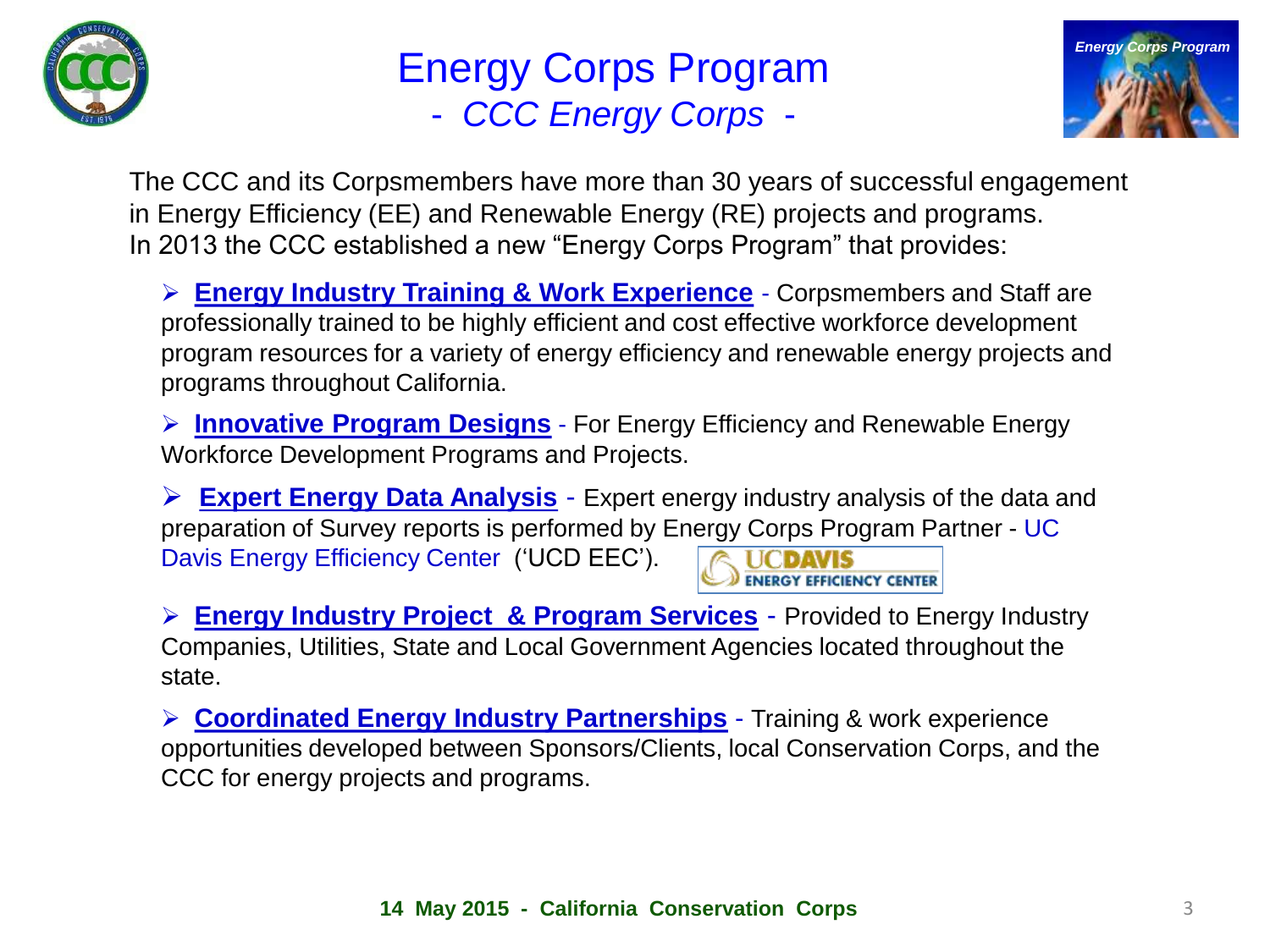

# Energy Corps Program - *CCC Energy Corps* -



The CCC and its Corpsmembers have more than 30 years of successful engagement in Energy Efficiency (EE) and Renewable Energy (RE) projects and programs. In 2013 the CCC established a new "Energy Corps Program" that provides:

 **Energy Industry Training & Work Experience** - Corpsmembers and Staff are professionally trained to be highly efficient and cost effective workforce development program resources for a variety of energy efficiency and renewable energy projects and programs throughout California.

**Innovative Program Designs** - For Energy Efficiency and Renewable Energy Workforce Development Programs and Projects.

 **Expert Energy Data Analysis** - Expert energy industry analysis of the data and preparation of Survey reports is performed by Energy Corps Program Partner - UC Davis Energy Efficiency Center ('UCD EEC'). **ENERGY EFFICIENCY CENTER** 

 **Energy Industry Project & Program Services** - Provided to Energy Industry Companies, Utilities, State and Local Government Agencies located throughout the state.

 **Coordinated Energy Industry Partnerships** - Training & work experience opportunities developed between Sponsors/Clients, local Conservation Corps, and the CCC for energy projects and programs.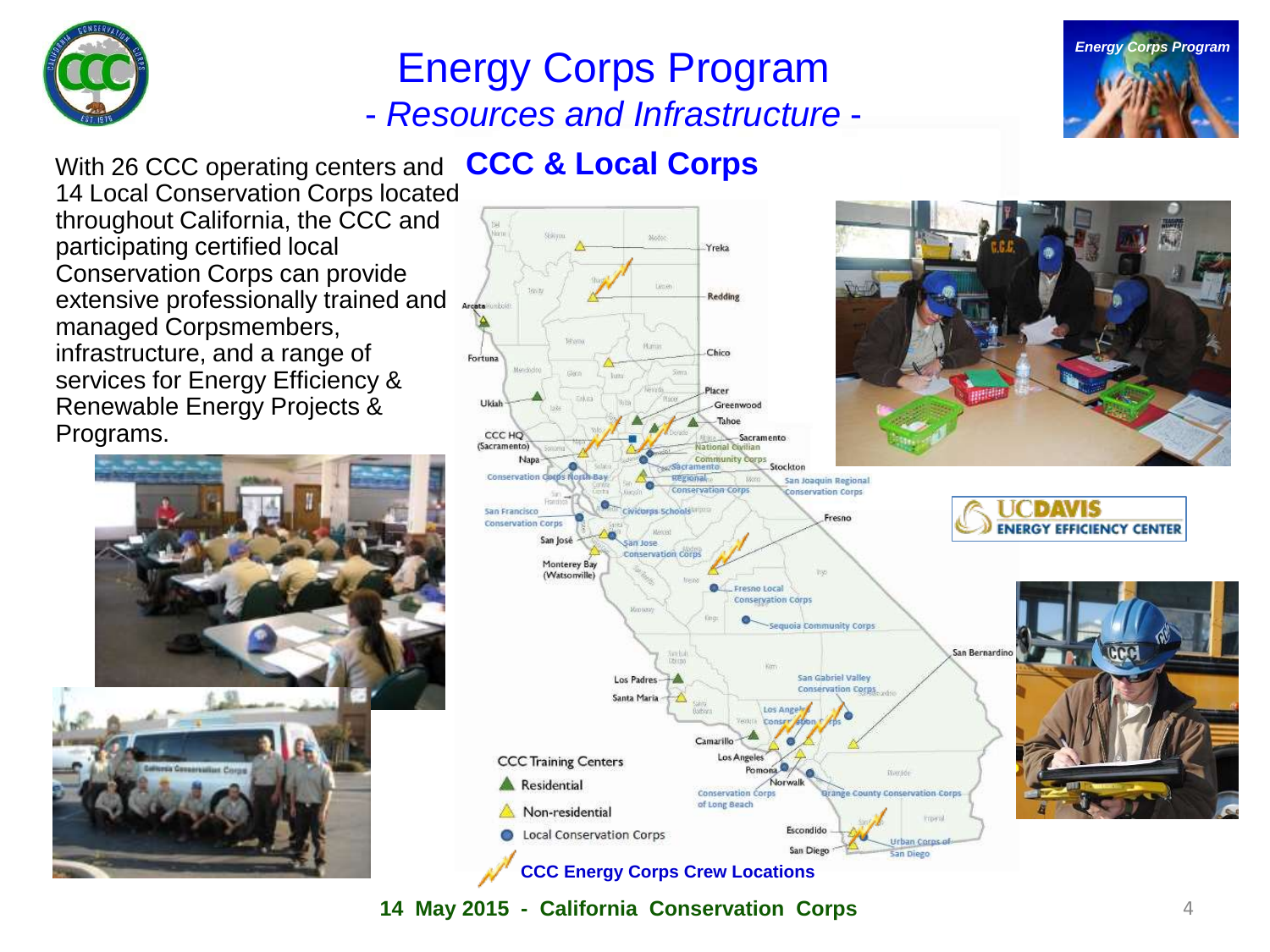

# **Energy Corps Program** - *Resources and Infrastructure* -



**CCC & Local Corps** With 26 CCC operating centers and 14 Local Conservation Corps located throughout California, the CCC and participating certified local Conservation Corps can provide extensive professionally trained and managed Corpsmembers, infrastructure, and a range of services for Energy Efficiency & Renewable Energy Projects & Programs.









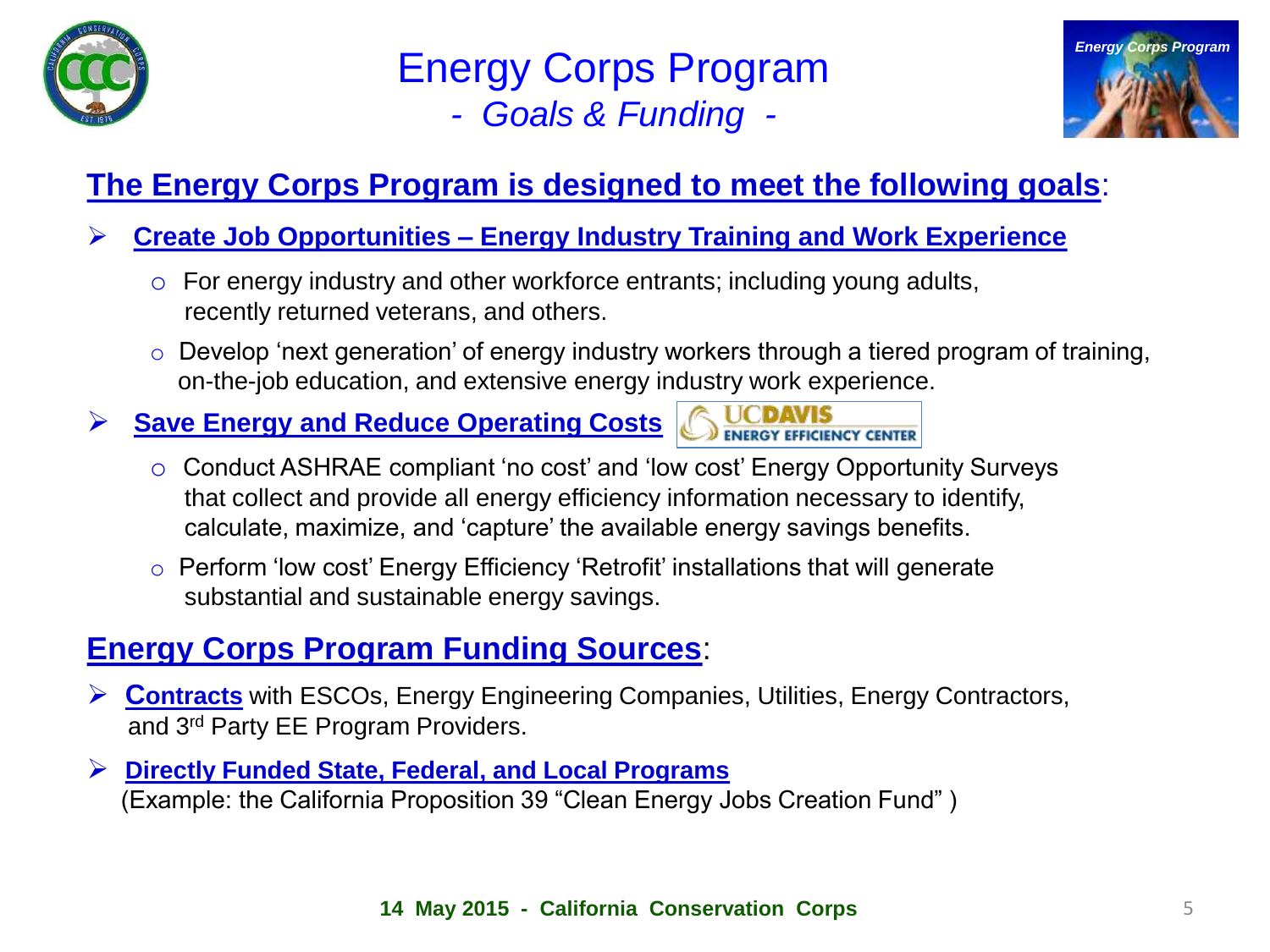

### Energy Corps Program *- Goals & Funding -*



#### **The Energy Corps Program is designed to meet the following goals**:

#### **Create Job Opportunities – Energy Industry Training and Work Experience**

- o For energy industry and other workforce entrants; including young adults, recently returned veterans, and others.
- o Develop 'next generation' of energy industry workers through a tiered program of training, on-the-job education, and extensive energy industry work experience.
- **► Save Energy and Reduce Operating Costs** 
	- o Conduct ASHRAE compliant 'no cost' and 'low cost' Energy Opportunity Surveys that collect and provide all energy efficiency information necessary to identify, calculate, maximize, and 'capture' the available energy savings benefits.
	- o Perform 'low cost' Energy Efficiency 'Retrofit' installations that will generate substantial and sustainable energy savings.

#### **Energy Corps Program Funding Sources**:

- **Contracts** with ESCOs, Energy Engineering Companies, Utilities, Energy Contractors, and 3rd Party EE Program Providers.
- **Directly Funded State, Federal, and Local Programs** (Example: the California Proposition 39 "Clean Energy Jobs Creation Fund" )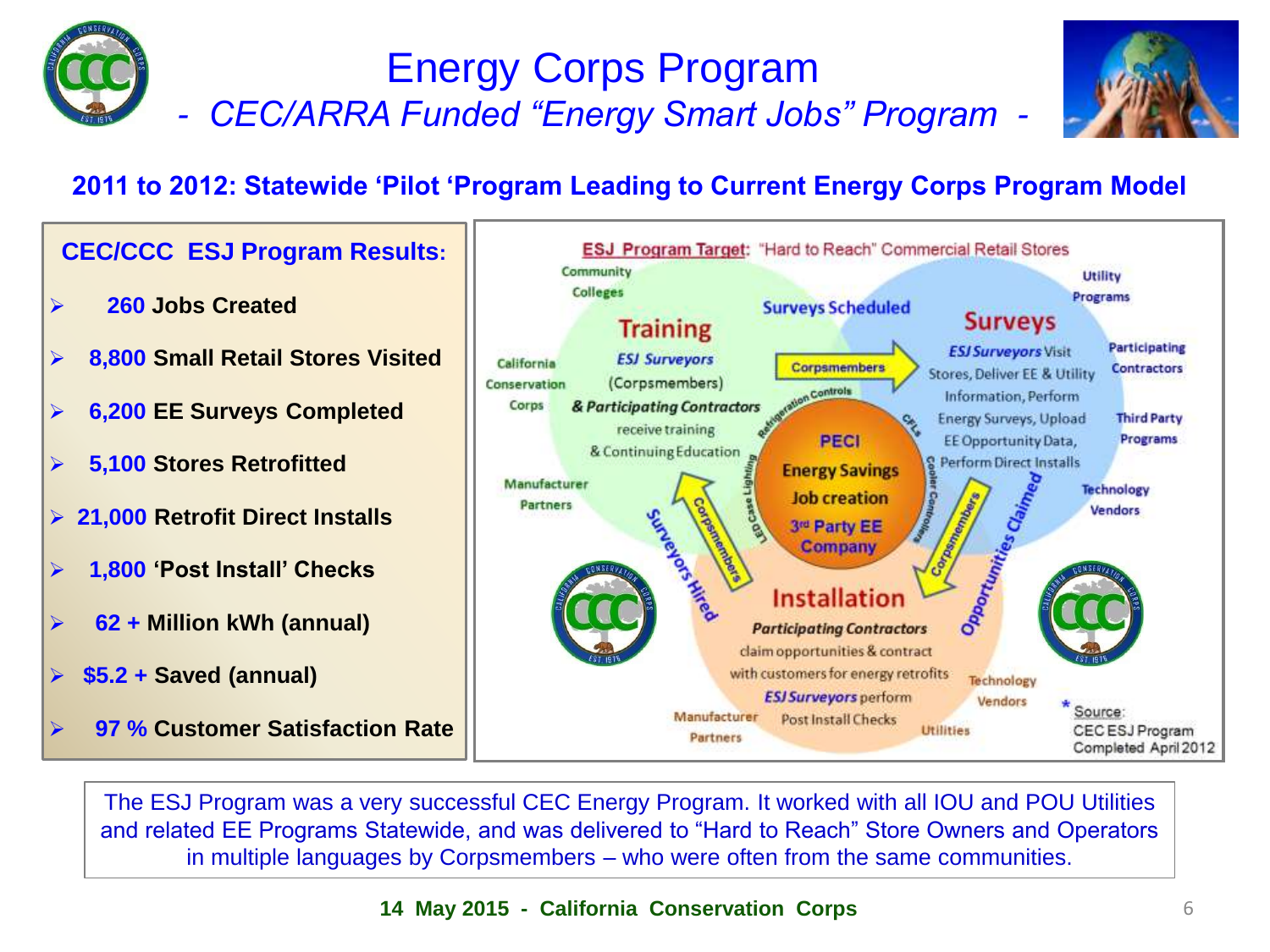

## Energy Corps Program *- CEC/ARRA Funded "Energy Smart Jobs" Program -*



#### **2011 to 2012: Statewide 'Pilot 'Program Leading to Current Energy Corps Program Model**



The ESJ Program was a very successful CEC Energy Program. It worked with all IOU and POU Utilities and related EE Programs Statewide, and was delivered to "Hard to Reach" Store Owners and Operators in multiple languages by Corpsmembers – who were often from the same communities.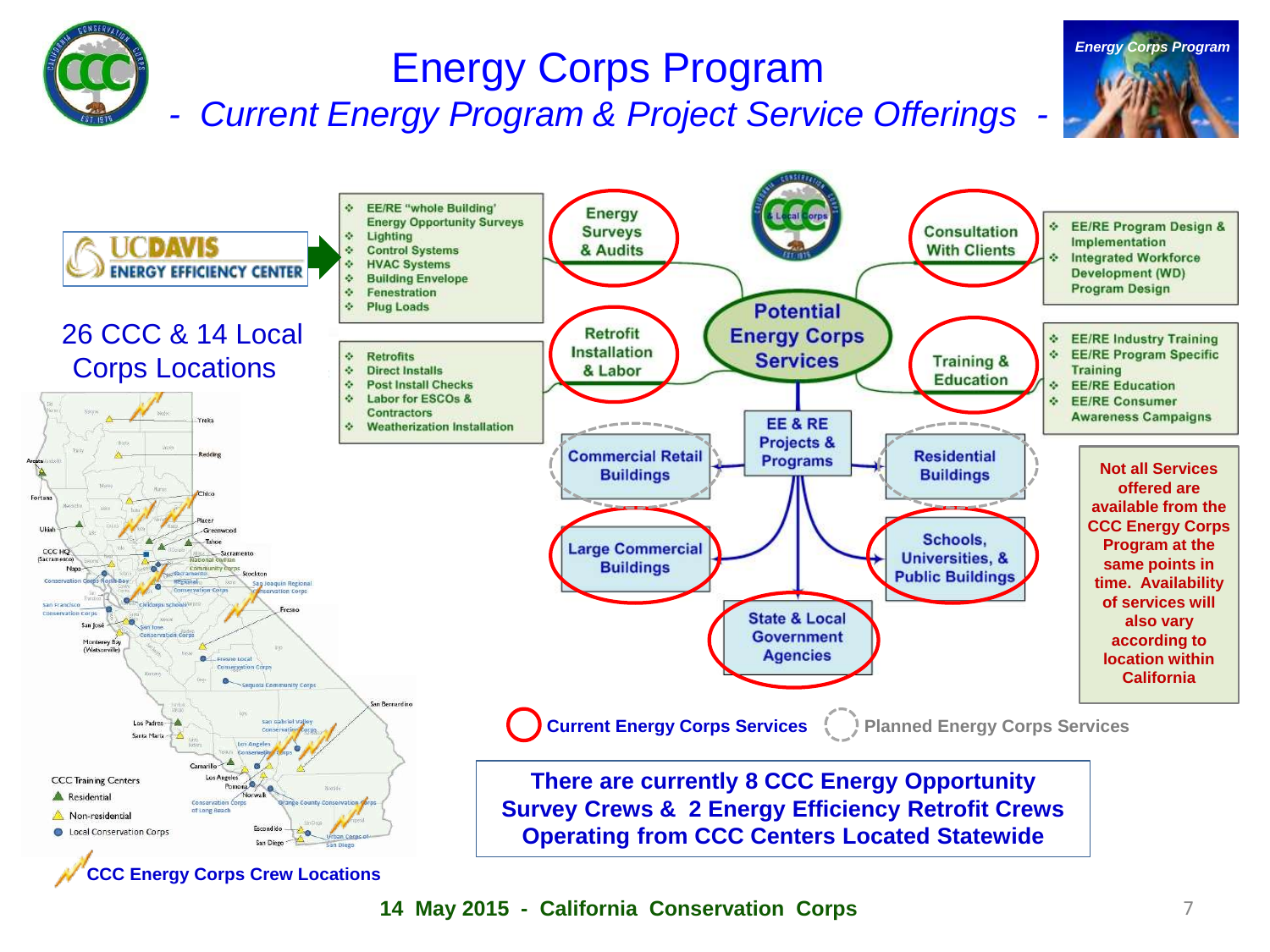# Energy Corps Program

*- Current Energy Program & Project Service Offerings -*



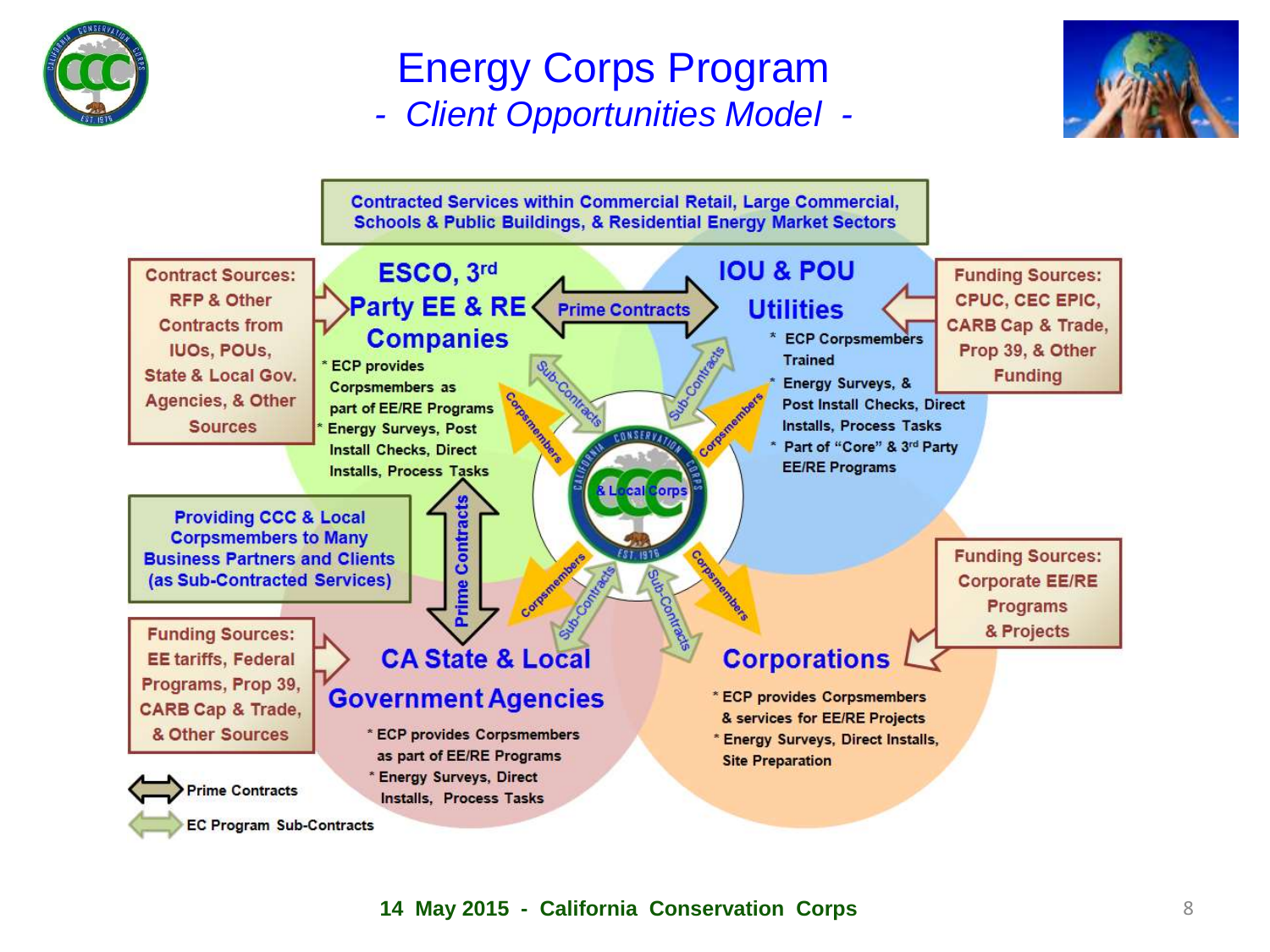

## Energy Corps Program *- Client Opportunities Model -*



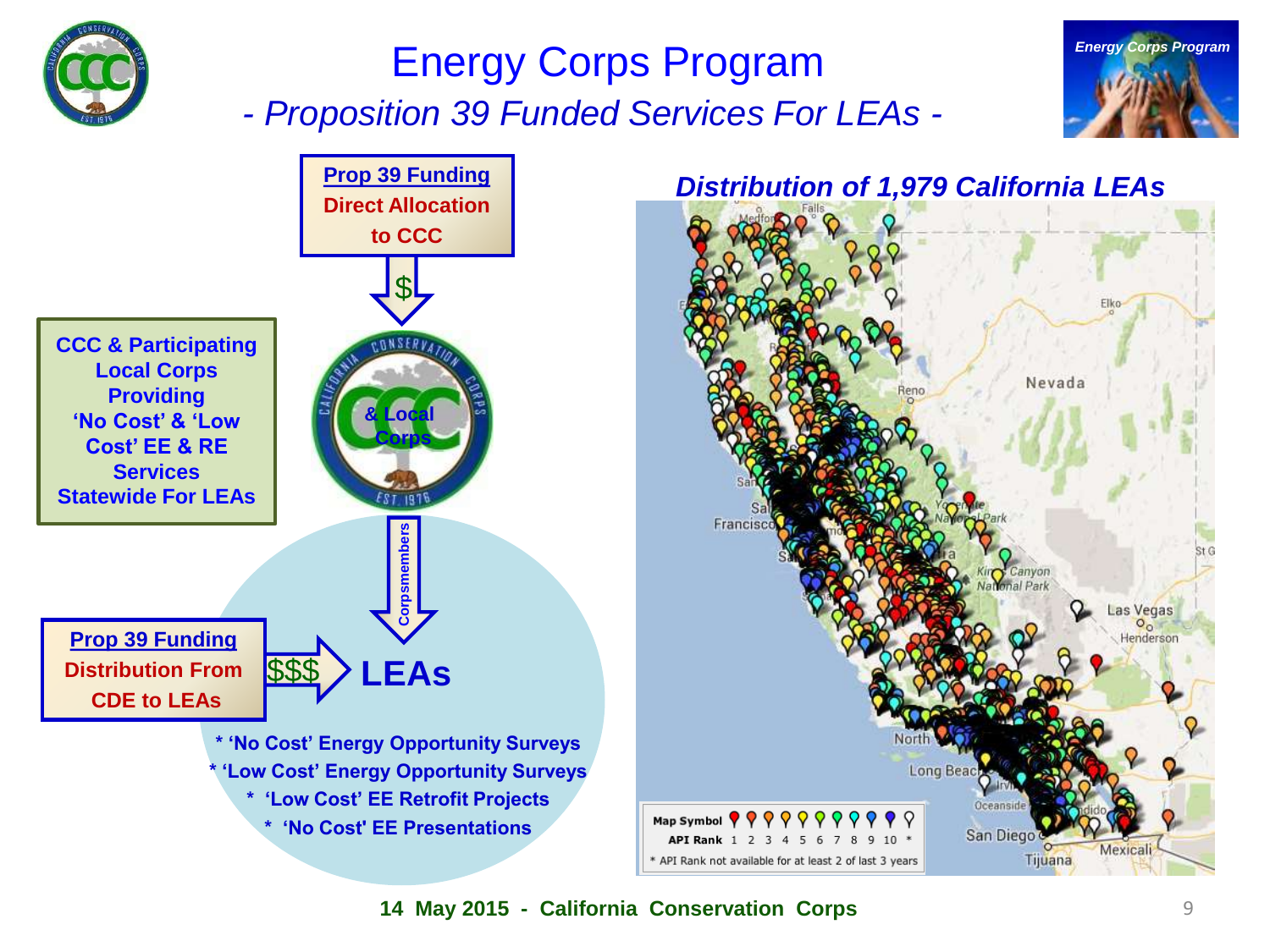

# Energy Corps Program *- Proposition 39 Funded Services For LEAs -*





# *Distribution of 1,979 California LEAs*  Nevada Francis Las Vegas Henderson Map Symbol  $\P$   $\P$   $\P$   $\P$   $\P$   $\P$ San Diego API Rank 1 2 3 4 5 6 7 8  $10 *$

\* API Rank not available for at least 2 of last 3 years

**14 May 2015 - California Conservation Corps**

Tijuana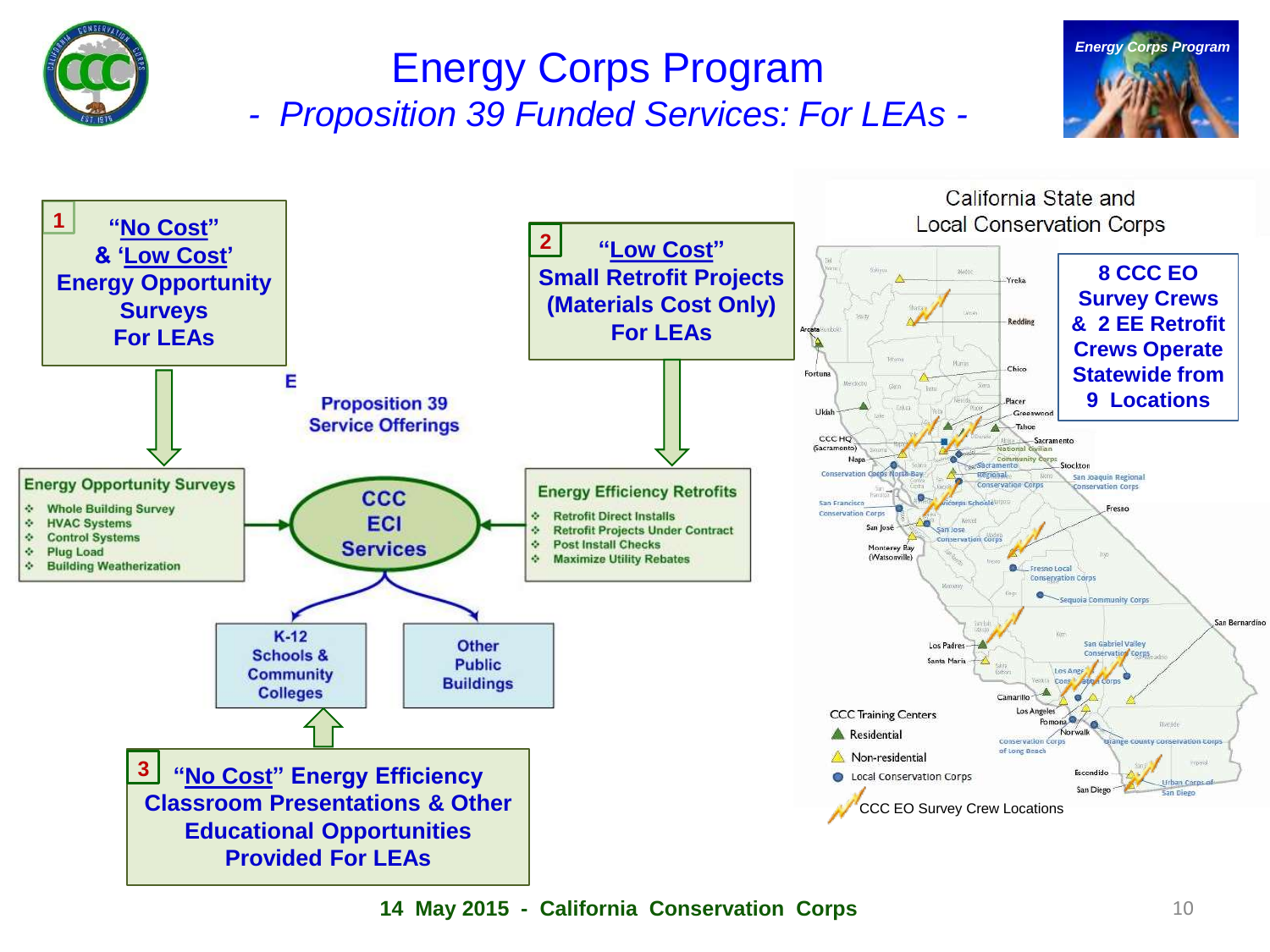

# Energy Corps Program *- Proposition 39 Funded Services: For LEAs -*





**14 May 2015 - California Conservation Corps**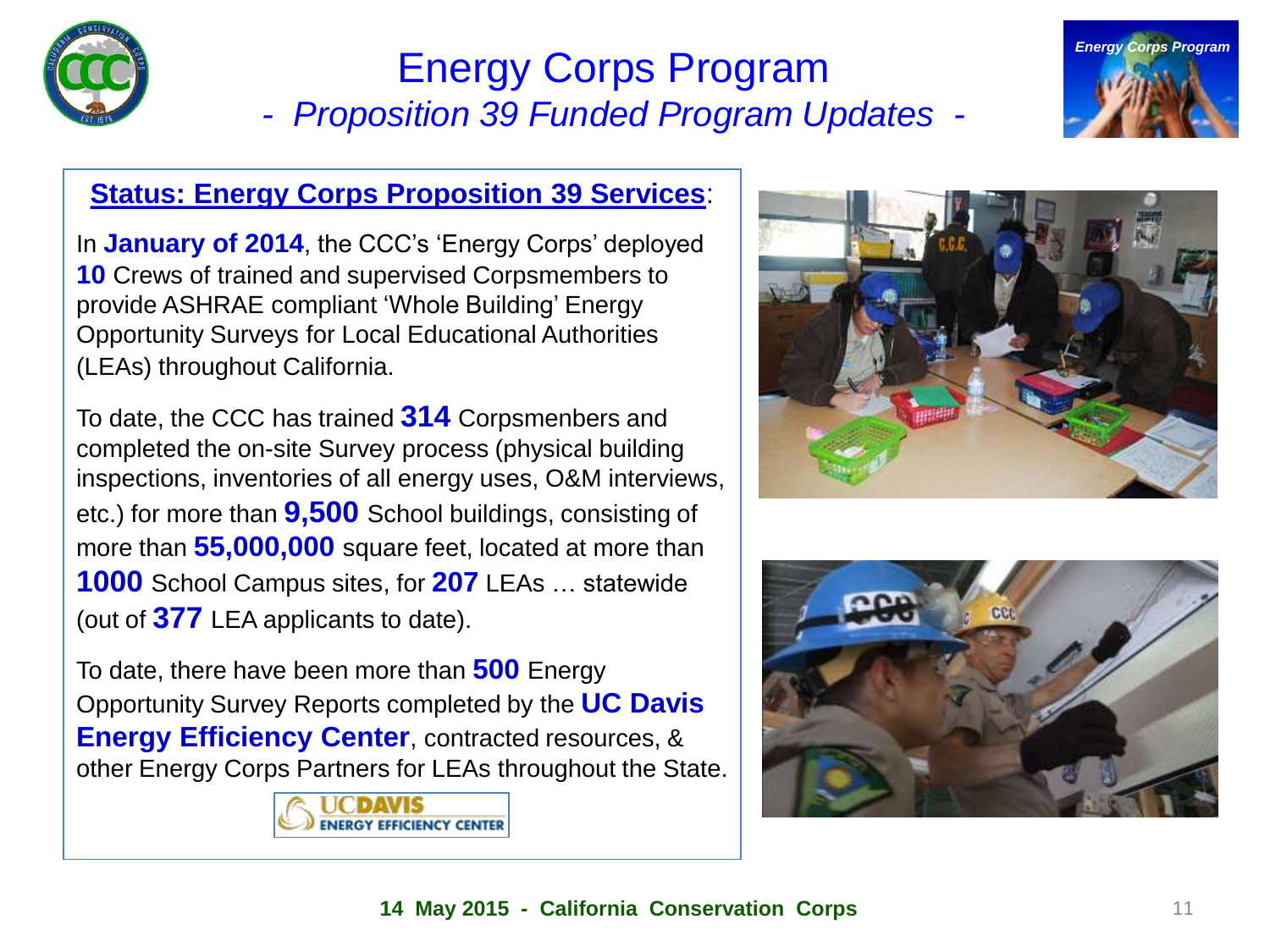

## Energy Corps Program *- Proposition 39 Funded Program Updates -*



#### **Status: Energy Corps Proposition 39 Services**:

In **January of 2014**, the CCC's 'Energy Corps' deployed **10** Crews of trained and supervised Corpsmembers to provide ASHRAE compliant 'Whole Building' Energy Opportunity Surveys for Local Educational Authorities (LEAs) throughout California.

To date, the CCC has trained **314** Corpsmenbers and completed the on-site Survey process (physical building inspections, inventories of all energy uses, O&M interviews, etc.) for more than **9,500** School buildings, consisting of more than **55,000,000** square feet, located at more than **1000** School Campus sites, for **207** LEAs … statewide (out of **377** LEA applicants to date).

To date, there have been more than **500** Energy Opportunity Survey Reports completed by the **UC Davis Energy Efficiency Center**, contracted resources, & other Energy Corps Partners for LEAs throughout the State.





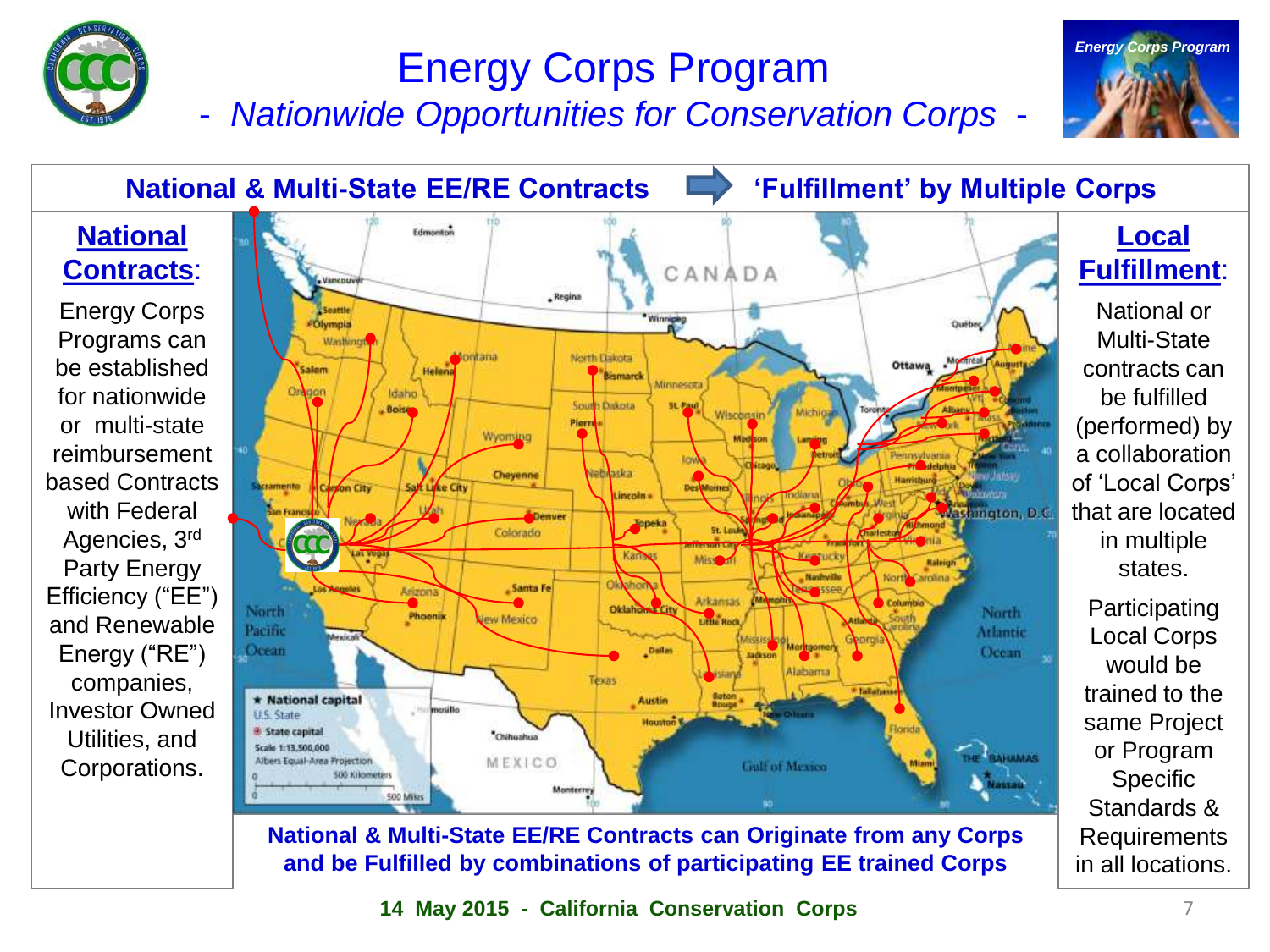

# Energy Corps Program

- *Nationwide Opportunities for Conservation Corps* -



**National & Multi-State EE/RE Contracts | Fulfillment' by Multiple Corps** Edmonton **National Local Fulfillment**: **Contracts**: CANADA *<i><u>Isnepus***</u>** - Regina National or Energy Corps Seattle Olympia Programs can Multi-State Washing North Dakota kontana Ottawą . Monitesi be established contracts can Salem Holena **Bismarck** Minnesota Orgaon for nationwide Idaho be fulfilled Dakota **Boisy** Wisconsn or multi-state (performed) by Pierri Wyoming reimbursement a collaboration Cheyenne Nebraska based Contracts of 'Local Corps' acramento on City Sayt Linke City **Dest** incoln with Federal that are located **Washington, D.C.** Denver Topeka Colorado Agencies, 3rd in multiple Kannya Missouri Party Energy states. **Nashville** North Carolina **Disk has** Santa Fe Arizona **USE SSAI** Efficiency ("EE") **Arkansas Columbia** Participating Oklaho North North | Phoenix **Little Rock** and Renewable ew Mexico Pacific Atlantic Local Corps Mexicali **De circuia** Energy ("RE") Ocean Dallar Ocean tadeson would be Alabama companies, trained to the \* Tallatiass \* National capital **Austin** Investor Owned **U.S. State** same Project **E** State capital \*Chihuahua Utilities, and Scale 1:13,500,000 or Program BAHAMAS Albert Equal-Area Projection MEXICO Corporations. **Gulf of Mexico SDS Kilometery Specific SOO Miles** Standards & **National & Multi-State EE/RE Contracts can Originate from any Corps** Requirements **and be Fulfilled by combinations of participating EE trained Corps** in all locations.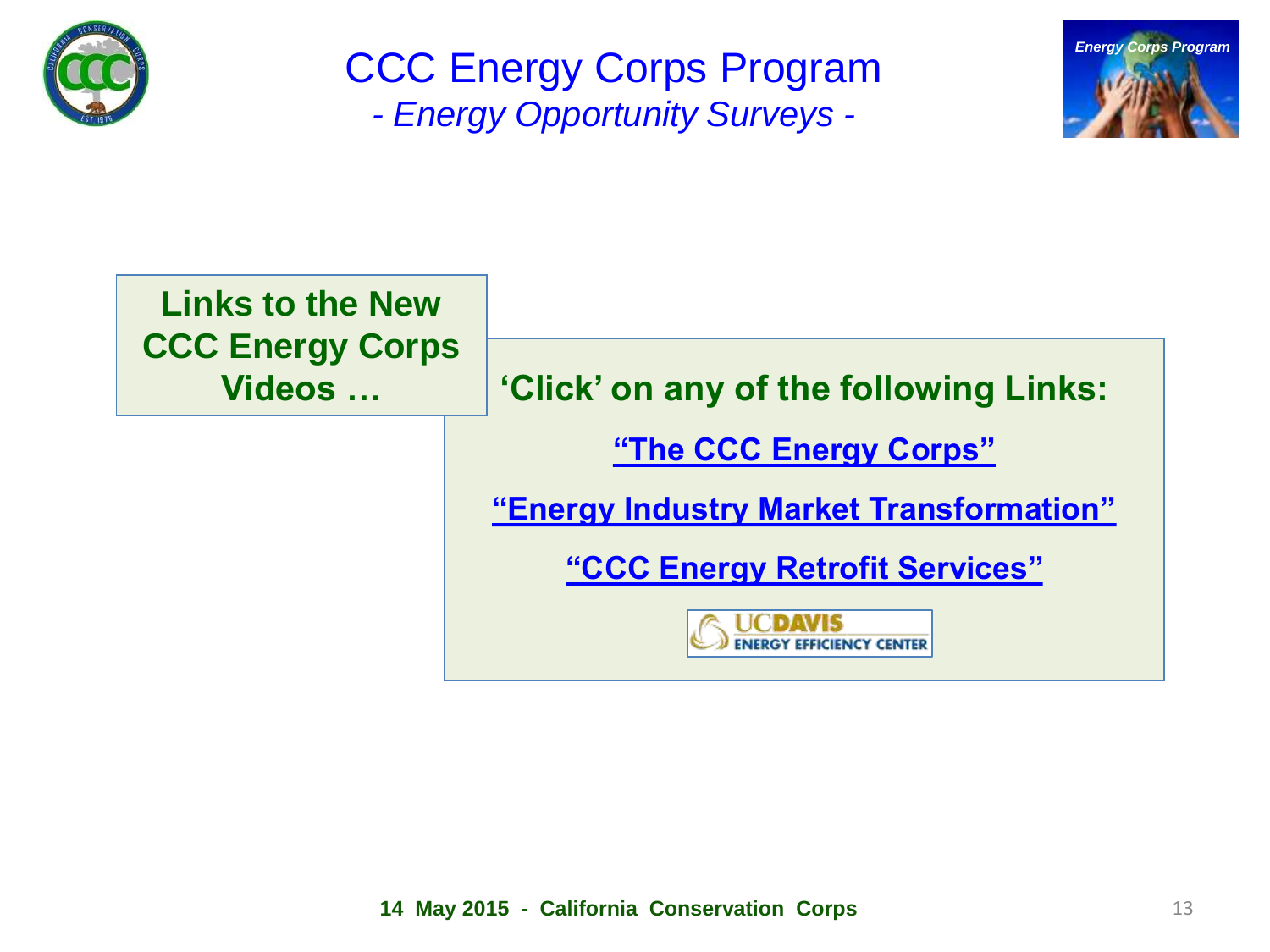

CCC Energy Corps Program *- Energy Opportunity Surveys -*



| <b>Links to the New</b><br><b>CCC Energy Corps</b><br>Videos |                                         |
|--------------------------------------------------------------|-----------------------------------------|
|                                                              | 'Click' on any of the following Links:  |
|                                                              | "The CCC Energy Corps"                  |
|                                                              | "Energy Industry Market Transformation" |
|                                                              | "CCC Energy Retrofit Services"          |
|                                                              | <b>NCY CENTER</b>                       |